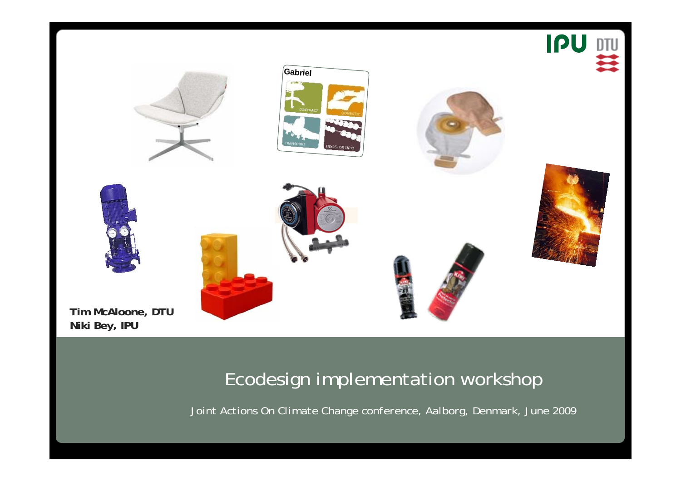

**Tim McAloone, DTU Niki Bey, IPU**

## Ecodesign implementation workshop

*Joint Actions On Climate Change conference, Aalborg, Denmark, June 2009*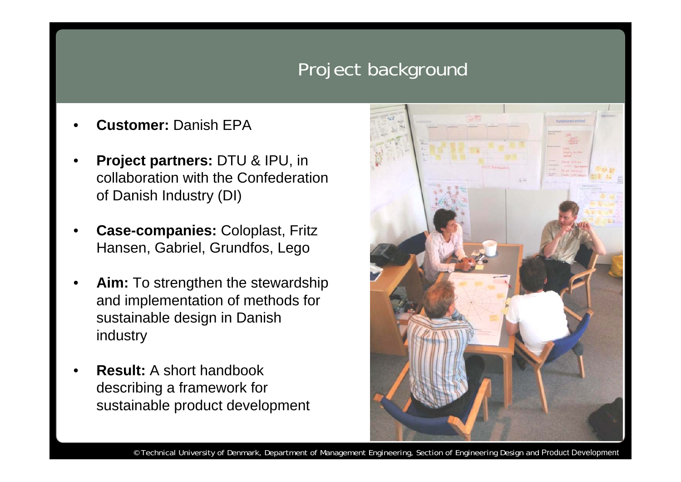# Project background

- **Customer:** Danish EPA
- **Project partners:** DTU & IPU, in collaboration with the Confederation of Danish Industry (DI)
- **Case-companies:** Coloplast, Fritz Hansen, Gabriel, Grundfos, Lego
- Aim: To strengthen the stewardship and implementation of methods for sustainable design in Danish industry
- **Result:** A short handbook describing a framework for sustainable product development

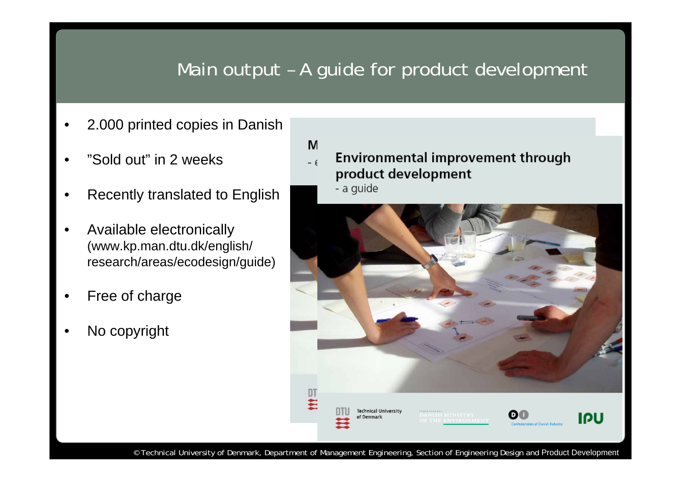# Main output – A guide for product development

- 2.000 printed copies in Danish
- "Sold out" in 2 weeks
- Recently translated to English
- Available electronically (www.kp.man.dtu.dk/english/ research/areas/ecodesign/guide)
- Free of charge
- No copyright

Environmental improvement through  $-6$ product development

- a guide

M

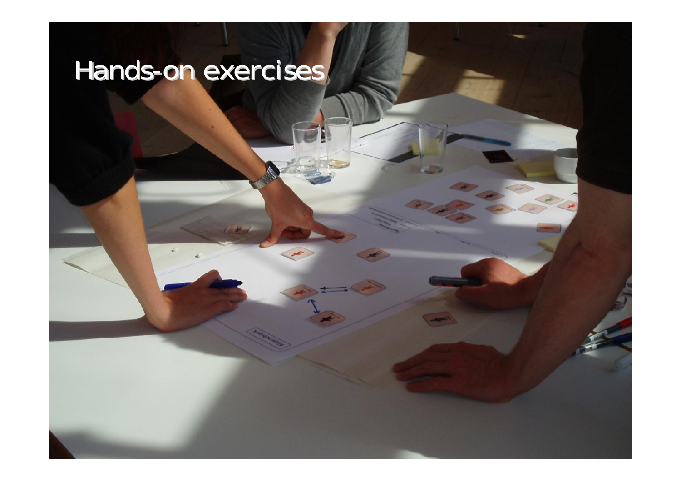# Hands-on exercises **on the set of the set of the set of the set of the set of the set of the set of the set of the set of the set of the set of the set of the set of the set of the set of the set of the set of the set of t**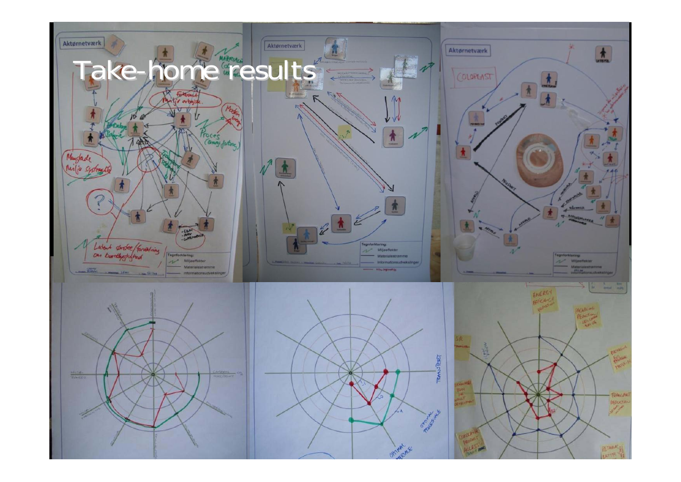







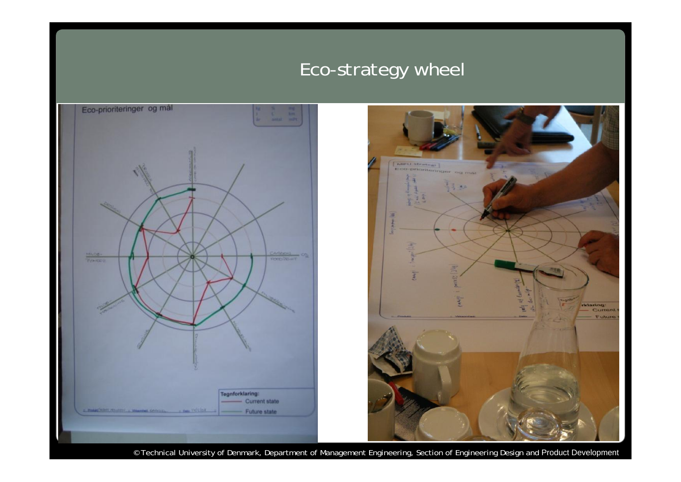# Eco-strategy wheel



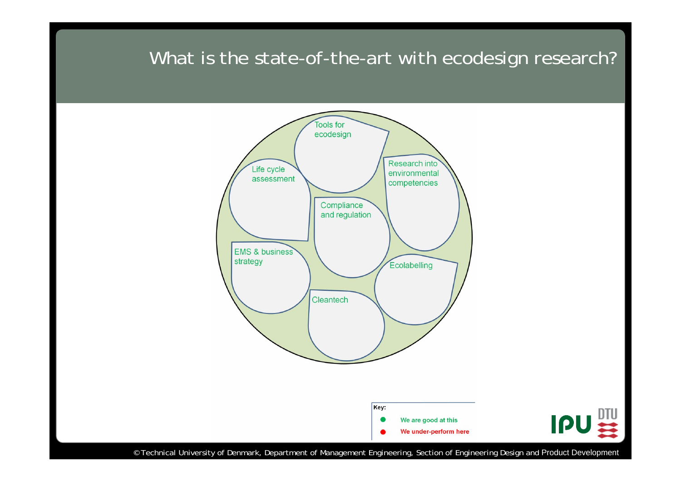## What is the state-of-the-art with ecodesign research?

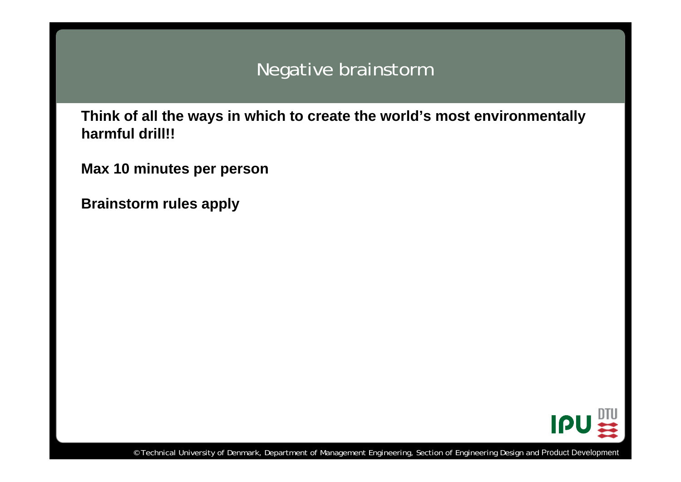## Negative brainstorm

**Think of all the ways in which to create the world's most environmentally harmful drill!!**

**Max 10 minutes per person**

**Brainstorm rules apply**